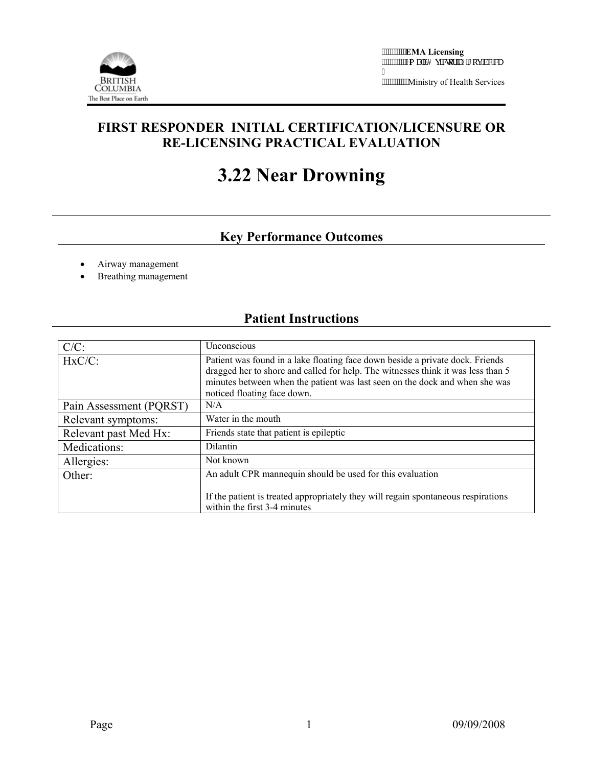

Ministry of Health Services

## **FIRST RESPONDER INITIAL CERTIFICATION/LICENSURE OR RE-LICENSING PRACTICAL EVALUATION**

# **3.22 Near Drowning**

# **Key Performance Outcomes**

- Airway management
- Breathing management

### **Patient Instructions**

| $C/C$ :                 | Unconscious                                                                                                                                                                                                                                                                     |  |  |
|-------------------------|---------------------------------------------------------------------------------------------------------------------------------------------------------------------------------------------------------------------------------------------------------------------------------|--|--|
| $HxC/C$ :               | Patient was found in a lake floating face down beside a private dock. Friends<br>dragged her to shore and called for help. The witnesses think it was less than 5<br>minutes between when the patient was last seen on the dock and when she was<br>noticed floating face down. |  |  |
| Pain Assessment (PQRST) | N/A                                                                                                                                                                                                                                                                             |  |  |
| Relevant symptoms:      | Water in the mouth                                                                                                                                                                                                                                                              |  |  |
| Relevant past Med Hx:   | Friends state that patient is epileptic                                                                                                                                                                                                                                         |  |  |
| Medications:            | Dilantin                                                                                                                                                                                                                                                                        |  |  |
| Allergies:              | Not known                                                                                                                                                                                                                                                                       |  |  |
| Other:                  | An adult CPR mannequin should be used for this evaluation                                                                                                                                                                                                                       |  |  |
|                         | If the patient is treated appropriately they will regain spontaneous respirations<br>within the first 3-4 minutes                                                                                                                                                               |  |  |